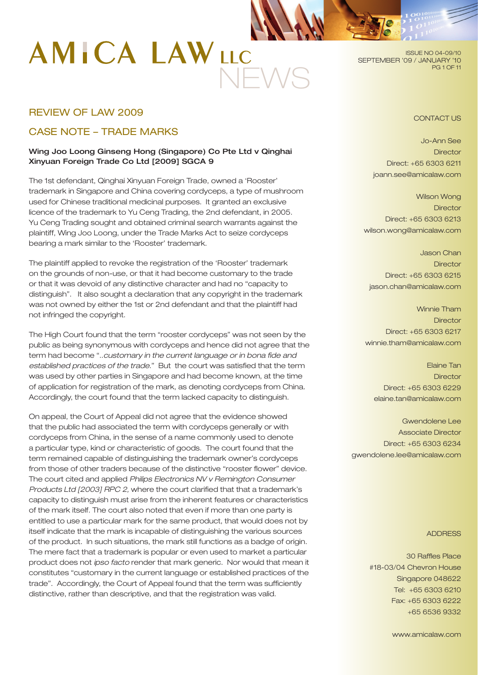# NEWS

ISSUE NO 04-09/10 SEPTEMBER '09 / JANUARY '10 PG 1 OF 11

# REVIEW OF LAW 2009

# CASE NOTE – TRADE MARKS

# Wing Joo Loong Ginseng Hong (Singapore) Co Pte Ltd v Qinghai Xinyuan Foreign Trade Co Ltd [2009] SGCA 9

The 1st defendant, Qinghai Xinyuan Foreign Trade, owned a 'Rooster' trademark in Singapore and China covering cordyceps, a type of mushroom used for Chinese traditional medicinal purposes. It granted an exclusive licence of the trademark to Yu Ceng Trading, the 2nd defendant, in 2005. Yu Ceng Trading sought and obtained criminal search warrants against the plaintiff, Wing Joo Loong, under the Trade Marks Act to seize cordyceps bearing a mark similar to the 'Rooster' trademark.

The plaintiff applied to revoke the registration of the 'Rooster' trademark on the grounds of non-use, or that it had become customary to the trade or that it was devoid of any distinctive character and had no "capacity to distinguish". It also sought a declaration that any copyright in the trademark was not owned by either the 1st or 2nd defendant and that the plaintiff had not infringed the copyright.

The High Court found that the term "rooster cordyceps" was not seen by the public as being synonymous with cordyceps and hence did not agree that the term had become "..*customary in the current language or in bona fide and established practices of the trade*." But the court was satisfied that the term was used by other parties in Singapore and had become known, at the time of application for registration of the mark, as denoting cordyceps from China. Accordingly, the court found that the term lacked capacity to distinguish.

On appeal, the Court of Appeal did not agree that the evidence showed that the public had associated the term with cordyceps generally or with cordyceps from China, in the sense of a name commonly used to denote a particular type, kind or characteristic of goods. The court found that the term remained capable of distinguishing the trademark owner's cordyceps from those of other traders because of the distinctive "rooster flower" device. The court cited and applied *Philips Electronics NV v Remington Consumer Products Ltd [2003] RPC 2,* where the court clarified that that a trademark's capacity to distinguish must arise from the inherent features or characteristics of the mark itself. The court also noted that even if more than one party is entitled to use a particular mark for the same product, that would does not by itself indicate that the mark is incapable of distinguishing the various sources of the product. In such situations, the mark still functions as a badge of origin. The mere fact that a trademark is popular or even used to market a particular product does not *ipso facto* render that mark generic. Nor would that mean it constitutes "customary in the current language or established practices of the trade". Accordingly, the Court of Appeal found that the term was sufficiently distinctive, rather than descriptive, and that the registration was valid.

CONTACT US

Jo-Ann See **Director** Direct: +65 6303 6211 joann.see@amicalaw.com

Wilson Wong **Director** Direct: +65 6303 6213 wilson.wong@amicalaw.com

Jason Chan **Director** Direct: +65 6303 6215 jason.chan@amicalaw.com

Winnie Tham **Director** Direct: +65 6303 6217 winnie.tham@amicalaw.com

Elaine Tan **Director** Direct: +65 6303 6229 elaine.tan@amicalaw.com

Gwendolene Lee Associate Director Direct: +65 6303 6234 gwendolene.lee@amicalaw.com

#### ADDRESS

30 Raffles Place #18-03/04 Chevron House Singapore 048622 Tel: +65 6303 6210 Fax: +65 6303 6222 +65 6536 9332

www.amicalaw.com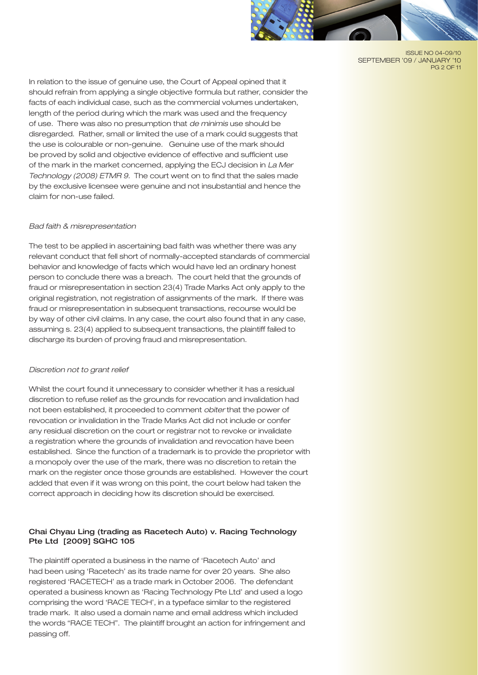

ISSUE NO 04-09/10 SEPTEMBER '09 / JANUARY '10 PG 2 OF 11

In relation to the issue of genuine use, the Court of Appeal opined that it should refrain from applying a single objective formula but rather, consider the facts of each individual case, such as the commercial volumes undertaken, length of the period during which the mark was used and the frequency of use. There was also no presumption that *de minimis* use should be disregarded. Rather, small or limited the use of a mark could suggests that the use is colourable or non-genuine. Genuine use of the mark should be proved by solid and objective evidence of effective and sufficient use of the mark in the market concerned, applying the ECJ decision in *La Mer Technology (2008) ETMR 9.* The court went on to find that the sales made by the exclusive licensee were genuine and not insubstantial and hence the claim for non-use failed.

# *Bad faith & misrepresentation*

The test to be applied in ascertaining bad faith was whether there was any relevant conduct that fell short of normally-accepted standards of commercial behavior and knowledge of facts which would have led an ordinary honest person to conclude there was a breach. The court held that the grounds of fraud or misrepresentation in section 23(4) Trade Marks Act only apply to the original registration, not registration of assignments of the mark. If there was fraud or misrepresentation in subsequent transactions, recourse would be by way of other civil claims. In any case, the court also found that in any case, assuming s. 23(4) applied to subsequent transactions, the plaintiff failed to discharge its burden of proving fraud and misrepresentation.

#### *Discretion not to grant relief*

Whilst the court found it unnecessary to consider whether it has a residual discretion to refuse relief as the grounds for revocation and invalidation had not been established, it proceeded to comment *obiter* that the power of revocation or invalidation in the Trade Marks Act did not include or confer any residual discretion on the court or registrar not to revoke or invalidate a registration where the grounds of invalidation and revocation have been established. Since the function of a trademark is to provide the proprietor with a monopoly over the use of the mark, there was no discretion to retain the mark on the register once those grounds are established. However the court added that even if it was wrong on this point, the court below had taken the correct approach in deciding how its discretion should be exercised.

# Chai Chyau Ling (trading as Racetech Auto) v. Racing Technology Pte Ltd [2009] SGHC 105

The plaintiff operated a business in the name of 'Racetech Auto' and had been using 'Racetech' as its trade name for over 20 years. She also registered 'RACETECH' as a trade mark in October 2006. The defendant operated a business known as 'Racing Technology Pte Ltd' and used a logo comprising the word 'RACE TECH', in a typeface similar to the registered trade mark. It also used a domain name and email address which included the words "RACE TECH". The plaintiff brought an action for infringement and passing off.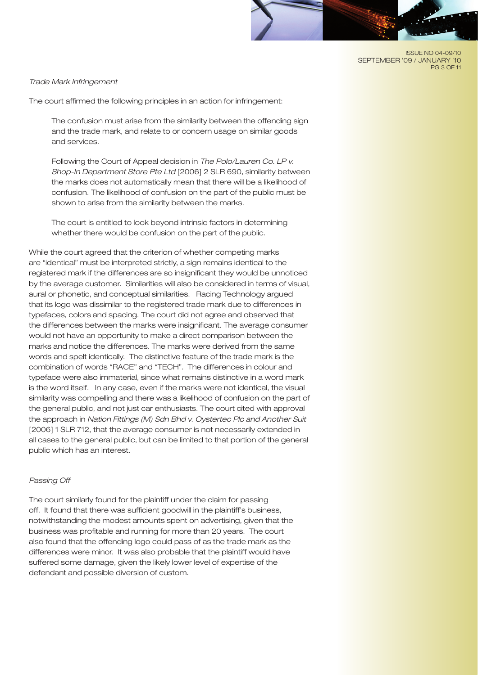#### ISSUE NO 04-09/10 SEPTEMBER '09 / JANUARY '10 PG 3 OF 11

#### *Trade Mark Infringement*

The court affirmed the following principles in an action for infringement:

The confusion must arise from the similarity between the offending sign and the trade mark, and relate to or concern usage on similar goods and services.

Following the Court of Appeal decision in *The Polo/Lauren Co. LP v. Shop-In Department Store Pte Ltd* [2006] 2 SLR 690, similarity between the marks does not automatically mean that there will be a likelihood of confusion. The likelihood of confusion on the part of the public must be shown to arise from the similarity between the marks.

The court is entitled to look beyond intrinsic factors in determining whether there would be confusion on the part of the public.

While the court agreed that the criterion of whether competing marks are "identical" must be interpreted strictly, a sign remains identical to the registered mark if the differences are so insignificant they would be unnoticed by the average customer. Similarities will also be considered in terms of visual, aural or phonetic, and conceptual similarities. Racing Technology argued that its logo was dissimilar to the registered trade mark due to differences in typefaces, colors and spacing. The court did not agree and observed that the differences between the marks were insignificant. The average consumer would not have an opportunity to make a direct comparison between the marks and notice the differences. The marks were derived from the same words and spelt identically. The distinctive feature of the trade mark is the combination of words "RACE" and "TECH". The differences in colour and typeface were also immaterial, since what remains distinctive in a word mark is the word itself. In any case, even if the marks were not identical, the visual similarity was compelling and there was a likelihood of confusion on the part of the general public, and not just car enthusiasts. The court cited with approval the approach in *Nation Fittings (M) Sdn Bhd v. Oystertec Plc and Another Suit* [2006] 1 SLR 712, that the average consumer is not necessarily extended in all cases to the general public, but can be limited to that portion of the general public which has an interest.

#### *Passing Off*

The court similarly found for the plaintiff under the claim for passing off. It found that there was sufficient goodwill in the plaintiff's business, notwithstanding the modest amounts spent on advertising, given that the business was profitable and running for more than 20 years. The court also found that the offending logo could pass of as the trade mark as the differences were minor. It was also probable that the plaintiff would have suffered some damage, given the likely lower level of expertise of the defendant and possible diversion of custom.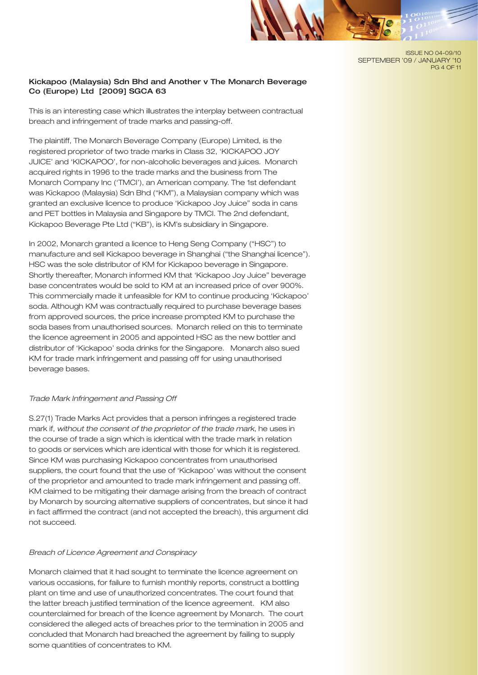ISSUE NO 04-09/10 SEPTEMBER '09 / JANUARY '10 PG 4 OF 11

# Kickapoo (Malaysia) Sdn Bhd and Another v The Monarch Beverage Co (Europe) Ltd [2009] SGCA 63

This is an interesting case which illustrates the interplay between contractual breach and infringement of trade marks and passing-off.

The plaintiff, The Monarch Beverage Company (Europe) Limited, is the registered proprietor of two trade marks in Class 32, 'KICKAPOO JOY JUICE' and 'KICKAPOO', for non-alcoholic beverages and juices. Monarch acquired rights in 1996 to the trade marks and the business from The Monarch Company Inc ('TMCI'), an American company. The 1st defendant was Kickapoo (Malaysia) Sdn Bhd ("KM"), a Malaysian company which was granted an exclusive licence to produce 'Kickapoo Joy Juice" soda in cans and PET bottles in Malaysia and Singapore by TMCI. The 2nd defendant, Kickapoo Beverage Pte Ltd ("KB"), is KM's subsidiary in Singapore.

In 2002, Monarch granted a licence to Heng Seng Company ("HSC") to manufacture and sell Kickapoo beverage in Shanghai ("the Shanghai licence"). HSC was the sole distributor of KM for Kickapoo beverage in Singapore. Shortly thereafter, Monarch informed KM that 'Kickapoo Joy Juice" beverage base concentrates would be sold to KM at an increased price of over 900%. This commercially made it unfeasible for KM to continue producing 'Kickapoo' soda. Although KM was contractually required to purchase beverage bases from approved sources, the price increase prompted KM to purchase the soda bases from unauthorised sources. Monarch relied on this to terminate the licence agreement in 2005 and appointed HSC as the new bottler and distributor of 'Kickapoo' soda drinks for the Singapore. Monarch also sued KM for trade mark infringement and passing off for using unauthorised beverage bases.

#### *Trade Mark Infringement and Passing Off*

S.27(1) Trade Marks Act provides that a person infringes a registered trade mark if, *without the consent of the proprietor of the trade mark*, he uses in the course of trade a sign which is identical with the trade mark in relation to goods or services which are identical with those for which it is registered. Since KM was purchasing Kickapoo concentrates from unauthorised suppliers, the court found that the use of 'Kickapoo' was without the consent of the proprietor and amounted to trade mark infringement and passing off. KM claimed to be mitigating their damage arising from the breach of contract by Monarch by sourcing alternative suppliers of concentrates, but since it had in fact affirmed the contract (and not accepted the breach), this argument did not succeed.

#### *Breach of Licence Agreement and Conspiracy*

Monarch claimed that it had sought to terminate the licence agreement on various occasions, for failure to furnish monthly reports, construct a bottling plant on time and use of unauthorized concentrates. The court found that the latter breach justified termination of the licence agreement. KM also counterclaimed for breach of the licence agreement by Monarch. The court considered the alleged acts of breaches prior to the termination in 2005 and concluded that Monarch had breached the agreement by failing to supply some quantities of concentrates to KM.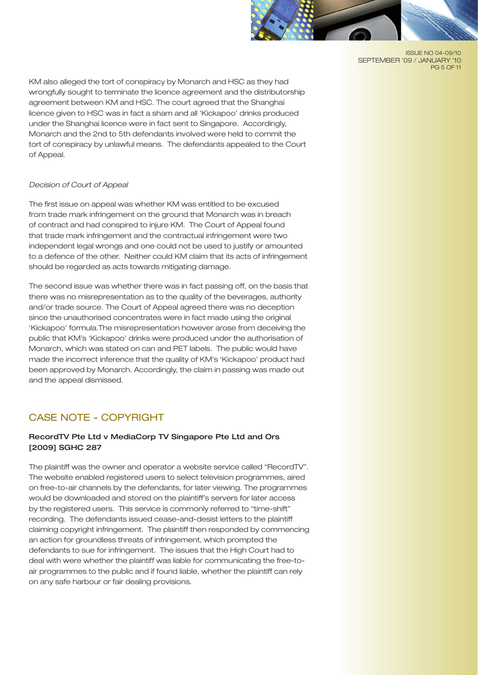

ISSUE NO 04-09/10 SEPTEMBER '09 / JANUARY '10 PG 5 OF 11

KM also alleged the tort of conspiracy by Monarch and HSC as they had wrongfully sought to terminate the licence agreement and the distributorship agreement between KM and HSC. The court agreed that the Shanghai licence given to HSC was in fact a sham and all 'Kickapoo' drinks produced under the Shanghai licence were in fact sent to Singapore. Accordingly, Monarch and the 2nd to 5th defendants involved were held to commit the tort of conspiracy by unlawful means. The defendants appealed to the Court of Appeal.

# *Decision of Court of Appeal*

The first issue on appeal was whether KM was entitled to be excused from trade mark infringement on the ground that Monarch was in breach of contract and had conspired to injure KM. The Court of Appeal found that trade mark infringement and the contractual infringement were two independent legal wrongs and one could not be used to justify or amounted to a defence of the other. Neither could KM claim that its acts of infringement should be regarded as acts towards mitigating damage.

The second issue was whether there was in fact passing off, on the basis that there was no misrepresentation as to the quality of the beverages, authority and/or trade source. The Court of Appeal agreed there was no deception since the unauthorised concentrates were in fact made using the original 'Kickapoo' formula.The misrepresentation however arose from deceiving the public that KM's 'Kickapoo' drinks were produced under the authorisation of Monarch, which was stated on can and PET labels. The public would have made the incorrect inference that the quality of KM's 'Kickapoo' product had been approved by Monarch. Accordingly, the claim in passing was made out and the appeal dismissed.

# CASE NOTE - COPYRIGHT

# RecordTV Pte Ltd v MediaCorp TV Singapore Pte Ltd and Ors [2009] SGHC 287

The plaintiff was the owner and operator a website service called "RecordTV". The website enabled registered users to select television programmes, aired on free-to-air channels by the defendants, for later viewing. The programmes would be downloaded and stored on the plaintiff's servers for later access by the registered users. This service is commonly referred to "time-shift" recording. The defendants issued cease-and-desist letters to the plaintiff claiming copyright infringement. The plaintiff then responded by commencing an action for groundless threats of infringement, which prompted the defendants to sue for infringement. The issues that the High Court had to deal with were whether the plaintiff was liable for communicating the free-toair programmes to the public and if found liable, whether the plaintiff can rely on any safe harbour or fair dealing provisions.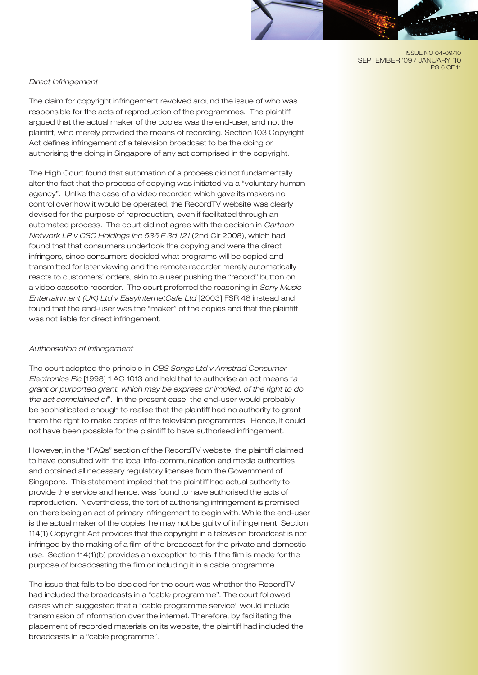ISSUE NO 04-09/10 SEPTEMBER '09 / JANUARY '10 PG 6 OF 11

## *Direct Infringement*

The claim for copyright infringement revolved around the issue of who was responsible for the acts of reproduction of the programmes. The plaintiff argued that the actual maker of the copies was the end-user, and not the plaintiff, who merely provided the means of recording. Section 103 Copyright Act defines infringement of a television broadcast to be the doing or authorising the doing in Singapore of any act comprised in the copyright.

The High Court found that automation of a process did not fundamentally alter the fact that the process of copying was initiated via a "voluntary human agency". Unlike the case of a video recorder, which gave its makers no control over how it would be operated, the RecordTV website was clearly devised for the purpose of reproduction, even if facilitated through an automated process. The court did not agree with the decision in *Cartoon Network LP v CSC Holdings Inc 536 F 3d 121* (2nd Cir 2008), which had found that that consumers undertook the copying and were the direct infringers, since consumers decided what programs will be copied and transmitted for later viewing and the remote recorder merely automatically reacts to customers' orders, akin to a user pushing the "record" button on a video cassette recorder. The court preferred the reasoning in *Sony Music Entertainment (UK) Ltd v EasyInternetCafe Ltd* [2003] FSR 48 instead and found that the end-user was the "maker" of the copies and that the plaintiff was not liable for direct infringement.

#### *Authorisation of Infringement*

The court adopted the principle in *CBS Songs Ltd v Amstrad Consumer Electronics Plc* [1998] 1 AC 1013 and held that to authorise an act means "*a grant or purported grant, which may be express or implied, of the right to do the act complained of*". In the present case, the end-user would probably be sophisticated enough to realise that the plaintiff had no authority to grant them the right to make copies of the television programmes. Hence, it could not have been possible for the plaintiff to have authorised infringement.

However, in the "FAQs" section of the RecordTV website, the plaintiff claimed to have consulted with the local info-communication and media authorities and obtained all necessary regulatory licenses from the Government of Singapore. This statement implied that the plaintiff had actual authority to provide the service and hence, was found to have authorised the acts of reproduction. Nevertheless, the tort of authorising infringement is premised on there being an act of primary infringement to begin with. While the end-user is the actual maker of the copies, he may not be guilty of infringement. Section 114(1) Copyright Act provides that the copyright in a television broadcast is not infringed by the making of a film of the broadcast for the private and domestic use. Section 114(1)(b) provides an exception to this if the film is made for the purpose of broadcasting the film or including it in a cable programme.

The issue that falls to be decided for the court was whether the RecordTV had included the broadcasts in a "cable programme". The court followed cases which suggested that a "cable programme service" would include transmission of information over the internet. Therefore, by facilitating the placement of recorded materials on its website, the plaintiff had included the broadcasts in a "cable programme".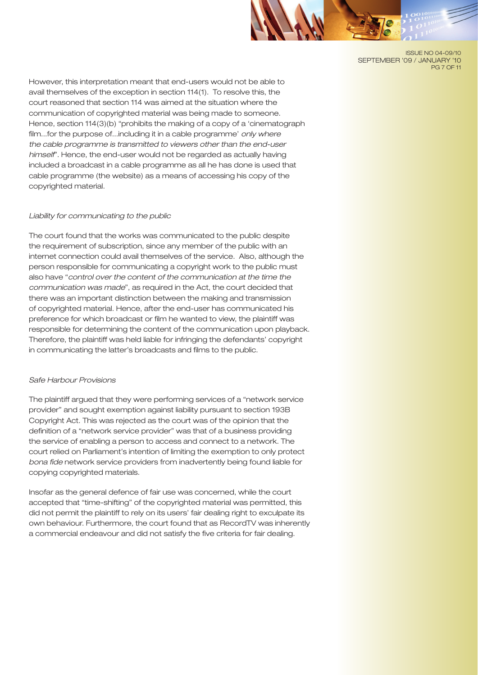ISSUE NO 04-09/10 SEPTEMBER '09 / JANUARY '10 PG 7 OF 11

However, this interpretation meant that end-users would not be able to avail themselves of the exception in section 114(1). To resolve this, the court reasoned that section 114 was aimed at the situation where the communication of copyrighted material was being made to someone. Hence, section 114(3)(b) "prohibits the making of a copy of a 'cinematograph film...for the purpose of...including it in a cable programme' *only where the cable programme is transmitted to viewers other than the end-user himself*". Hence, the end-user would not be regarded as actually having included a broadcast in a cable programme as all he has done is used that cable programme (the website) as a means of accessing his copy of the copyrighted material.

#### *Liability for communicating to the public*

The court found that the works was communicated to the public despite the requirement of subscription, since any member of the public with an internet connection could avail themselves of the service. Also, although the person responsible for communicating a copyright work to the public must also have "*control over the content of the communication at the time the communication was made*", as required in the Act, the court decided that there was an important distinction between the making and transmission of copyrighted material. Hence, after the end-user has communicated his preference for which broadcast or film he wanted to view, the plaintiff was responsible for determining the content of the communication upon playback. Therefore, the plaintiff was held liable for infringing the defendants' copyright in communicating the latter's broadcasts and films to the public.

#### *Safe Harbour Provisions*

The plaintiff argued that they were performing services of a "network service provider" and sought exemption against liability pursuant to section 193B Copyright Act. This was rejected as the court was of the opinion that the definition of a "network service provider" was that of a business providing the service of enabling a person to access and connect to a network. The court relied on Parliament's intention of limiting the exemption to only protect *bona fide* network service providers from inadvertently being found liable for copying copyrighted materials.

Insofar as the general defence of fair use was concerned, while the court accepted that "time-shifting" of the copyrighted material was permitted, this did not permit the plaintiff to rely on its users' fair dealing right to exculpate its own behaviour. Furthermore, the court found that as RecordTV was inherently a commercial endeavour and did not satisfy the five criteria for fair dealing.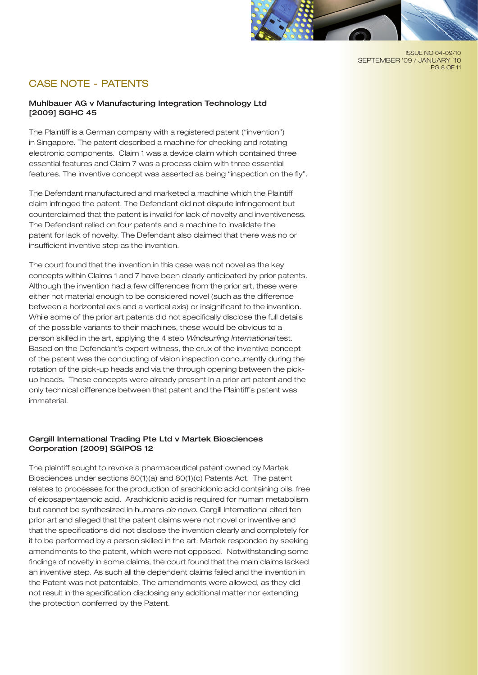

# CASE NOTE - PATENTS

## Muhlbauer AG v Manufacturing Integration Technology Ltd [2009] SGHC 45

The Plaintiff is a German company with a registered patent ("invention") in Singapore. The patent described a machine for checking and rotating electronic components. Claim 1 was a device claim which contained three essential features and Claim 7 was a process claim with three essential features. The inventive concept was asserted as being "inspection on the fly".

The Defendant manufactured and marketed a machine which the Plaintiff claim infringed the patent. The Defendant did not dispute infringement but counterclaimed that the patent is invalid for lack of novelty and inventiveness. The Defendant relied on four patents and a machine to invalidate the patent for lack of novelty. The Defendant also claimed that there was no or insufficient inventive step as the invention.

The court found that the invention in this case was not novel as the key concepts within Claims 1 and 7 have been clearly anticipated by prior patents. Although the invention had a few differences from the prior art, these were either not material enough to be considered novel (such as the difference between a horizontal axis and a vertical axis) or insignificant to the invention. While some of the prior art patents did not specifically disclose the full details of the possible variants to their machines, these would be obvious to a person skilled in the art, applying the 4 step *Windsurfing International* test. Based on the Defendant's expert witness, the crux of the inventive concept of the patent was the conducting of vision inspection concurrently during the rotation of the pick-up heads and via the through opening between the pickup heads. These concepts were already present in a prior art patent and the only technical difference between that patent and the Plaintiff's patent was immaterial.

## Cargill International Trading Pte Ltd v Martek Biosciences Corporation [2009] SGIPOS 12

The plaintiff sought to revoke a pharmaceutical patent owned by Martek Biosciences under sections 80(1)(a) and 80(1)(c) Patents Act. The patent relates to processes for the production of arachidonic acid containing oils, free of eicosapentaenoic acid. Arachidonic acid is required for human metabolism but cannot be synthesized in humans *de novo*. Cargill International cited ten prior art and alleged that the patent claims were not novel or inventive and that the specifications did not disclose the invention clearly and completely for it to be performed by a person skilled in the art. Martek responded by seeking amendments to the patent, which were not opposed. Notwithstanding some findings of novelty in some claims, the court found that the main claims lacked an inventive step. As such all the dependent claims failed and the invention in the Patent was not patentable. The amendments were allowed, as they did not result in the specification disclosing any additional matter nor extending the protection conferred by the Patent.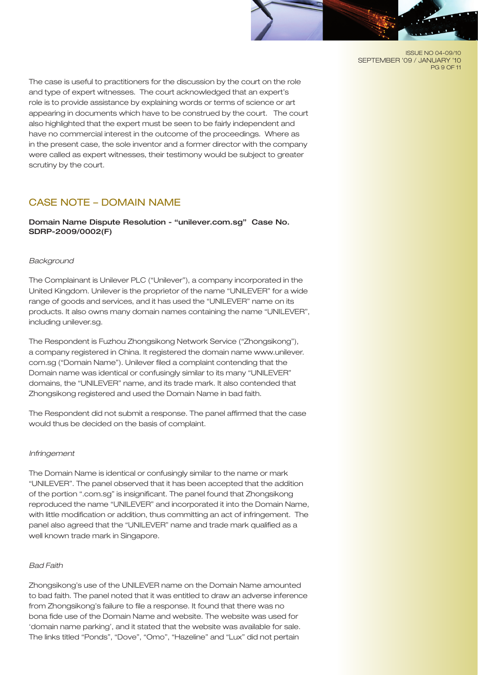ISSUE NO 04-09/10 SEPTEMBER '09 / JANUARY '10 PG 9 OF 11

The case is useful to practitioners for the discussion by the court on the role and type of expert witnesses. The court acknowledged that an expert's role is to provide assistance by explaining words or terms of science or art appearing in documents which have to be construed by the court. The court also highlighted that the expert must be seen to be fairly independent and have no commercial interest in the outcome of the proceedings. Where as in the present case, the sole inventor and a former director with the company were called as expert witnesses, their testimony would be subject to greater scrutiny by the court.

# CASE NOTE – DOMAIN NAME

Domain Name Dispute Resolution - "unilever.com.sg" Case No. SDRP-2009/0002(F)

# *Background*

The Complainant is Unilever PLC ("Unilever"), a company incorporated in the United Kingdom. Unilever is the proprietor of the name "UNILEVER" for a wide range of goods and services, and it has used the "UNILEVER" name on its products. It also owns many domain names containing the name "UNILEVER", including unilever.sg.

The Respondent is Fuzhou Zhongsikong Network Service ("Zhongsikong"), a company registered in China. It registered the domain name www.unilever. com.sg ("Domain Name"). Unilever filed a complaint contending that the Domain name was identical or confusingly similar to its many "UNILEVER" domains, the "UNILEVER" name, and its trade mark. It also contended that Zhongsikong registered and used the Domain Name in bad faith.

The Respondent did not submit a response. The panel affirmed that the case would thus be decided on the basis of complaint.

# *Infringement*

The Domain Name is identical or confusingly similar to the name or mark "UNILEVER". The panel observed that it has been accepted that the addition of the portion ".com.sg" is insignificant. The panel found that Zhongsikong reproduced the name "UNILEVER" and incorporated it into the Domain Name, with little modification or addition, thus committing an act of infringement. The panel also agreed that the "UNILEVER" name and trade mark qualified as a well known trade mark in Singapore.

# *Bad Faith*

Zhongsikong's use of the UNILEVER name on the Domain Name amounted to bad faith. The panel noted that it was entitled to draw an adverse inference from Zhongsikong's failure to file a response. It found that there was no bona fide use of the Domain Name and website. The website was used for 'domain name parking', and it stated that the website was available for sale. The links titled "Ponds", "Dove", "Omo", "Hazeline" and "Lux" did not pertain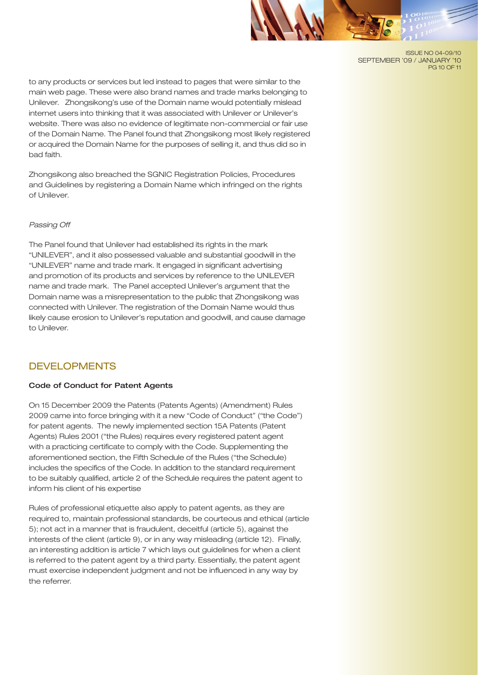

ISSUE NO 04-09/10 SEPTEMBER '09 / JANUARY '10 PG 10 OF 11

to any products or services but led instead to pages that were similar to the main web page. These were also brand names and trade marks belonging to Unilever. Zhongsikong's use of the Domain name would potentially mislead internet users into thinking that it was associated with Unilever or Unilever's website. There was also no evidence of legitimate non-commercial or fair use of the Domain Name. The Panel found that Zhongsikong most likely registered or acquired the Domain Name for the purposes of selling it, and thus did so in bad faith.

Zhongsikong also breached the SGNIC Registration Policies, Procedures and Guidelines by registering a Domain Name which infringed on the rights of Unilever.

#### *Passing Off*

The Panel found that Unilever had established its rights in the mark "UNILEVER", and it also possessed valuable and substantial goodwill in the "UNILEVER" name and trade mark. It engaged in significant advertising and promotion of its products and services by reference to the UNILEVER name and trade mark. The Panel accepted Unilever's argument that the Domain name was a misrepresentation to the public that Zhongsikong was connected with Unilever. The registration of the Domain Name would thus likely cause erosion to Unilever's reputation and goodwill, and cause damage to Unilever.

# DEVELOPMENTS

# Code of Conduct for Patent Agents

On 15 December 2009 the Patents (Patents Agents) (Amendment) Rules 2009 came into force bringing with it a new "Code of Conduct" ("the Code") for patent agents. The newly implemented section 15A Patents (Patent Agents) Rules 2001 ("the Rules) requires every registered patent agent with a practicing certificate to comply with the Code. Supplementing the aforementioned section, the Fifth Schedule of the Rules ("the Schedule) includes the specifics of the Code. In addition to the standard requirement to be suitably qualified, article 2 of the Schedule requires the patent agent to inform his client of his expertise

Rules of professional etiquette also apply to patent agents, as they are required to, maintain professional standards, be courteous and ethical (article 5); not act in a manner that is fraudulent, deceitful (article 5), against the interests of the client (article 9), or in any way misleading (article 12). Finally, an interesting addition is article 7 which lays out guidelines for when a client is referred to the patent agent by a third party. Essentially, the patent agent must exercise independent judgment and not be influenced in any way by the referrer.